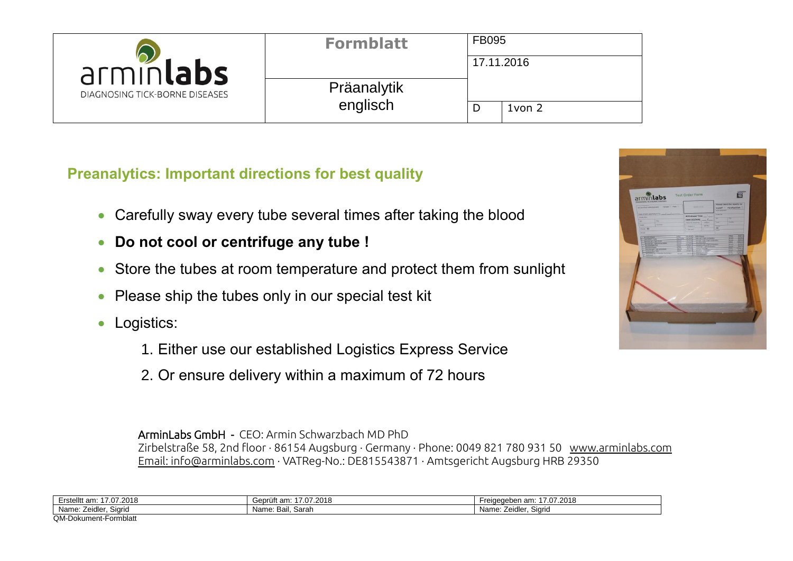| arminlabs<br>DIAGNOSING TICK-BORNE DISEASES | <b>Formblatt</b> | <b>FB095</b> |             |  |
|---------------------------------------------|------------------|--------------|-------------|--|
|                                             |                  |              | 17.11.2016  |  |
|                                             | Präanalytik      |              |             |  |
|                                             | englisch         |              | $1$ von $2$ |  |

**Preanalytics: Important directions for best quality**

- Carefully sway every tube several times after taking the blood
- **Do not cool or centrifuge any tube !**
- Store the tubes at room temperature and protect them from sunlight
- Please ship the tubes only in our special test kit
- Logistics:
	- 1. Either use our established Logistics Express Service
	- 2. Or ensure delivery within a maximum of 72 hours

ArminLabs GmbH - CEO: Armin Schwarzbach MD PhD Zirbelstraße 58, 2nd floor ∙ 86154 Augsburg ∙ Germany ∙ Phone: 0049 821 780 931 50 [www.arminlabs.com](http://www.arminlabs.com/) [Email: info@arminlabs.com](mailto:info@arminlabs.com) ∙ VATReg-No.: DE815543871 ∙ Amtsgericht Augsburg HRB 29350

| Erstelltt am:<br>0010<br>7.07<br>7.ZUT8 | Geprüft am<br>.07.2018<br>. .u <i>r</i> | 7.07.2018<br>eidedeben am:<br>٠r٤ |
|-----------------------------------------|-----------------------------------------|-----------------------------------|
| Name:<br>Siarid<br>. Zeidler.           | Name: Bail, Sarah                       | $\sim$<br>Name: Zeidler<br>Siarid |
| QM-Dokur<br>ument-Formblatt             |                                         |                                   |